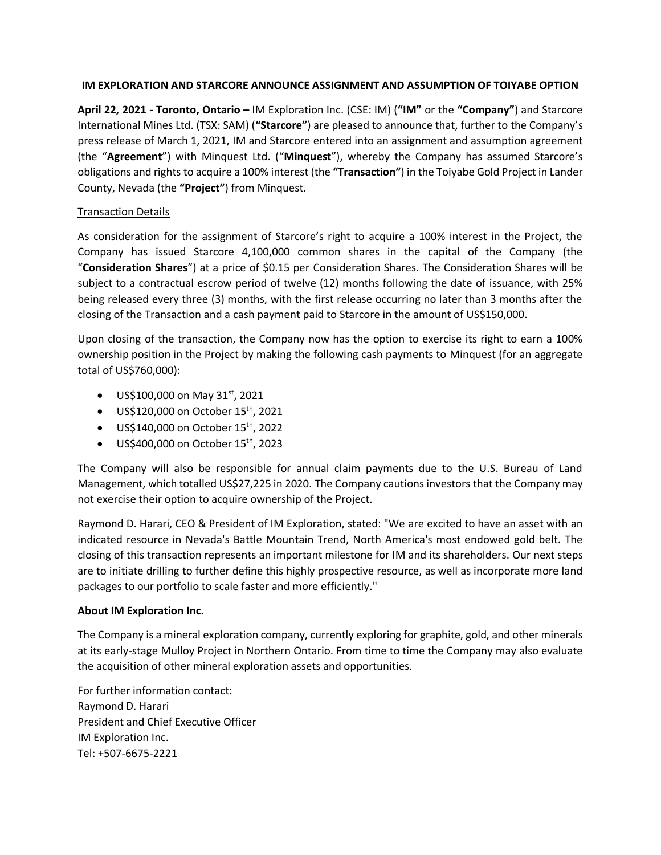## **IM EXPLORATION AND STARCORE ANNOUNCE ASSIGNMENT AND ASSUMPTION OF TOIYABE OPTION**

**April 22, 2021 - Toronto, Ontario –** IM Exploration Inc. (CSE: IM) (**"IM"** or the **"Company"**) and Starcore International Mines Ltd. (TSX: SAM) (**"Starcore"**) are pleased to announce that, further to the Company's press release of March 1, 2021, IM and Starcore entered into an assignment and assumption agreement (the "**Agreement**") with Minquest Ltd. ("**Minquest**"), whereby the Company has assumed Starcore's obligations and rights to acquire a 100% interest (the **"Transaction"**) in the Toiyabe Gold Project in Lander County, Nevada (the **"Project"**) from Minquest.

# Transaction Details

As consideration for the assignment of Starcore's right to acquire a 100% interest in the Project, the Company has issued Starcore 4,100,000 common shares in the capital of the Company (the "**Consideration Shares**") at a price of \$0.15 per Consideration Shares. The Consideration Shares will be subject to a contractual escrow period of twelve (12) months following the date of issuance, with 25% being released every three (3) months, with the first release occurring no later than 3 months after the closing of the Transaction and a cash payment paid to Starcore in the amount of US\$150,000.

Upon closing of the transaction, the Company now has the option to exercise its right to earn a 100% ownership position in the Project by making the following cash payments to Minquest (for an aggregate total of US\$760,000):

- US\$100,000 on May  $31^{st}$ , 2021
- $\bullet$  US\$120,000 on October 15<sup>th</sup>, 2021
- $\bullet$  US\$140,000 on October 15<sup>th</sup>, 2022
- $\bullet$  US\$400,000 on October 15<sup>th</sup>, 2023

The Company will also be responsible for annual claim payments due to the U.S. Bureau of Land Management, which totalled US\$27,225 in 2020. The Company cautions investors that the Company may not exercise their option to acquire ownership of the Project.

Raymond D. Harari, CEO & President of IM Exploration, stated: "We are excited to have an asset with an indicated resource in Nevada's Battle Mountain Trend, North America's most endowed gold belt. The closing of this transaction represents an important milestone for IM and its shareholders. Our next steps are to initiate drilling to further define this highly prospective resource, as well as incorporate more land packages to our portfolio to scale faster and more efficiently."

### **About IM Exploration Inc.**

The Company is a mineral exploration company, currently exploring for graphite, gold, and other minerals at its early-stage Mulloy Project in Northern Ontario. From time to time the Company may also evaluate the acquisition of other mineral exploration assets and opportunities.

For further information contact: Raymond D. Harari President and Chief Executive Officer IM Exploration Inc. Tel: +507-6675-2221